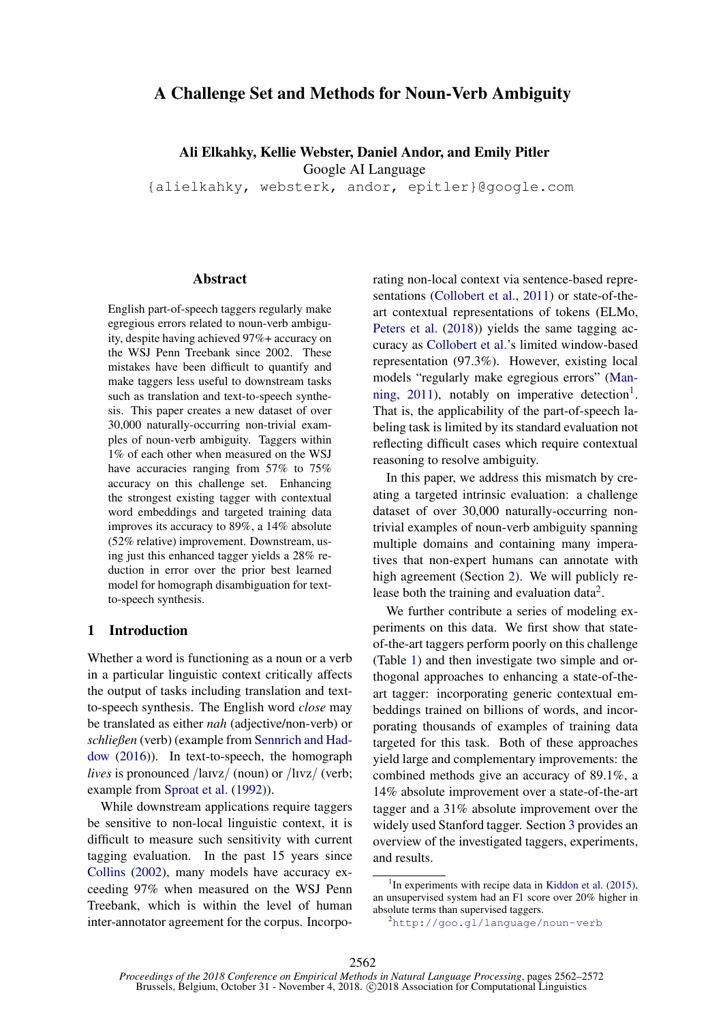# A Challenge Set and Methods for Noun-Verb Ambiguity

Ali Elkahky, Kellie Webster, Daniel Andor, and Emily Pitler

Google AI Language

{alielkahky, websterk, andor, epitler}@google.com

#### Abstract

English part-of-speech taggers regularly make egregious errors related to noun-verb ambiguity, despite having achieved 97%+ accuracy on the WSJ Penn Treebank since 2002. These mistakes have been difficult to quantify and make taggers less useful to downstream tasks such as translation and text-to-speech synthesis. This paper creates a new dataset of over 30,000 naturally-occurring non-trivial examples of noun-verb ambiguity. Taggers within 1% of each other when measured on the WSJ have accuracies ranging from 57% to 75% accuracy on this challenge set. Enhancing the strongest existing tagger with contextual word embeddings and targeted training data improves its accuracy to 89%, a 14% absolute (52% relative) improvement. Downstream, using just this enhanced tagger yields a 28% reduction in error over the prior best learned model for homograph disambiguation for textto-speech synthesis.

# 1 Introduction

Whether a word is functioning as a noun or a verb in a particular linguistic context critically affects the output of tasks including translation and textto-speech synthesis. The English word *close* may be translated as either *nah* (adjective/non-verb) or *schließen* (verb) (example from [Sennrich and Had](#page-9-0)[dow](#page-9-0) [\(2016\)](#page-9-0)). In text-to-speech, the homograph *lives* is pronounced /la<sub>Ivz</sub>/ (noun) or /l<sub>Ivz</sub>/ (verb; example from [Sproat et al.](#page-9-1) [\(1992\)](#page-9-1)).

While downstream applications require taggers be sensitive to non-local linguistic context, it is difficult to measure such sensitivity with current tagging evaluation. In the past 15 years since [Collins](#page-8-0) [\(2002\)](#page-8-0), many models have accuracy exceeding 97% when measured on the WSJ Penn Treebank, which is within the level of human inter-annotator agreement for the corpus. Incorporating non-local context via sentence-based representations [\(Collobert et al.,](#page-8-1) [2011\)](#page-8-1) or state-of-theart contextual representations of tokens (ELMo, [Peters et al.](#page-9-2) [\(2018\)](#page-9-2)) yields the same tagging accuracy as [Collobert et al.'](#page-8-1)s limited window-based representation (97.3%). However, existing local models "regularly make egregious errors" [\(Man](#page-9-3)[ning,](#page-9-3) [2011\)](#page-9-3), notably on imperative detection<sup>[1](#page-0-0)</sup>. That is, the applicability of the part-of-speech labeling task is limited by its standard evaluation not reflecting difficult cases which require contextual reasoning to resolve ambiguity.

In this paper, we address this mismatch by creating a targeted intrinsic evaluation: a challenge dataset of over 30,000 naturally-occurring nontrivial examples of noun-verb ambiguity spanning multiple domains and containing many imperatives that non-expert humans can annotate with high agreement (Section [2\)](#page-1-0). We will publicly re-lease both the training and evaluation data<sup>[2](#page-0-1)</sup>.

We further contribute a series of modeling experiments on this data. We first show that stateof-the-art taggers perform poorly on this challenge (Table [1\)](#page-1-1) and then investigate two simple and orthogonal approaches to enhancing a state-of-theart tagger: incorporating generic contextual embeddings trained on billions of words, and incorporating thousands of examples of training data targeted for this task. Both of these approaches yield large and complementary improvements: the combined methods give an accuracy of 89.1%, a 14% absolute improvement over a state-of-the-art tagger and a 31% absolute improvement over the widely used Stanford tagger. Section [3](#page-3-0) provides an overview of the investigated taggers, experiments, and results.

<span id="page-0-0"></span><sup>&</sup>lt;sup>1</sup>In experiments with recipe data in [Kiddon et al.](#page-9-4) [\(2015\)](#page-9-4), an unsupervised system had an F1 score over 20% higher in absolute terms than supervised taggers.

<span id="page-0-1"></span><sup>2</sup><http://goo.gl/language/noun-verb>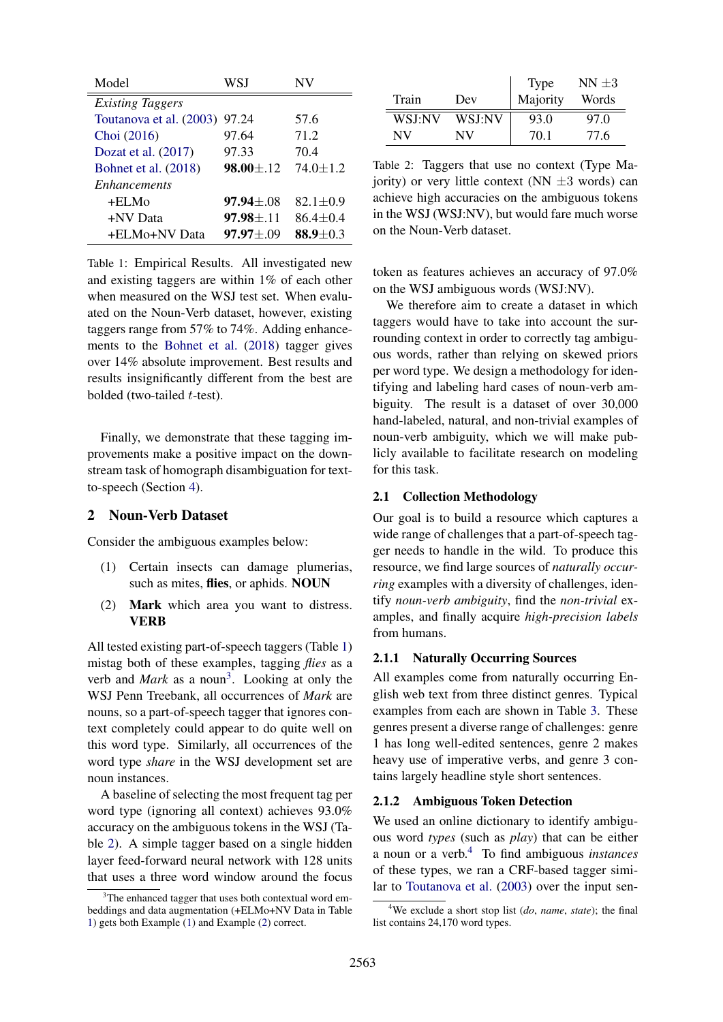<span id="page-1-1"></span>

| Model                   | WSJ              | NV             |
|-------------------------|------------------|----------------|
| <b>Existing Taggers</b> |                  |                |
| Toutanova et al. (2003) | 97.24            | 57.6           |
| Choi (2016)             | 97.64            | 71.2           |
| Dozat et al. $(2017)$   | 97.33            | 70.4           |
| Bohnet et al. (2018)    | $98.00 \pm 0.12$ | $74.0 \pm 1.2$ |
| <i>Enhancements</i>     |                  |                |
| +ELMo                   | $97.94 \pm .08$  | 82.1 $\pm$ 0.9 |
| +NV Data                | $97.98 \pm .11$  | $86.4 \pm 0.4$ |
| +ELMo+NV Data           | $97.97 \pm 0.09$ | $88.9 + 0.3$   |

Table 1: Empirical Results. All investigated new and existing taggers are within 1% of each other when measured on the WSJ test set. When evaluated on the Noun-Verb dataset, however, existing taggers range from 57% to 74%. Adding enhancements to the [Bohnet et al.](#page-8-4) [\(2018\)](#page-8-4) tagger gives over 14% absolute improvement. Best results and results insignificantly different from the best are bolded (two-tailed t-test).

Finally, we demonstrate that these tagging improvements make a positive impact on the downstream task of homograph disambiguation for textto-speech (Section [4\)](#page-6-0).

#### <span id="page-1-0"></span>2 Noun-Verb Dataset

Consider the ambiguous examples below:

- <span id="page-1-4"></span>(1) Certain insects can damage plumerias, such as mites, flies, or aphids. NOUN
- <span id="page-1-5"></span>(2) Mark which area you want to distress. **VERB**

All tested existing part-of-speech taggers (Table [1\)](#page-1-1) mistag both of these examples, tagging *flies* as a verb and *Mark* as a noun<sup>[3](#page-1-2)</sup>. Looking at only the WSJ Penn Treebank, all occurrences of *Mark* are nouns, so a part-of-speech tagger that ignores context completely could appear to do quite well on this word type. Similarly, all occurrences of the word type *share* in the WSJ development set are noun instances.

A baseline of selecting the most frequent tag per word type (ignoring all context) achieves 93.0% accuracy on the ambiguous tokens in the WSJ (Table [2\)](#page-1-3). A simple tagger based on a single hidden layer feed-forward neural network with 128 units that uses a three word window around the focus

<span id="page-1-3"></span>

| Train         | Dev    | <b>Type</b><br>Majority | $NN \pm 3$<br>Words |
|---------------|--------|-------------------------|---------------------|
| <b>WSI:NV</b> | WSJ:NV | 93.0                    | 97.0                |
| NV            | NV     | 70.1                    | 77.6                |

Table 2: Taggers that use no context (Type Majority) or very little context (NN  $\pm$ 3 words) can achieve high accuracies on the ambiguous tokens in the WSJ (WSJ:NV), but would fare much worse on the Noun-Verb dataset.

token as features achieves an accuracy of 97.0% on the WSJ ambiguous words (WSJ:NV).

We therefore aim to create a dataset in which taggers would have to take into account the surrounding context in order to correctly tag ambiguous words, rather than relying on skewed priors per word type. We design a methodology for identifying and labeling hard cases of noun-verb ambiguity. The result is a dataset of over 30,000 hand-labeled, natural, and non-trivial examples of noun-verb ambiguity, which we will make publicly available to facilitate research on modeling for this task.

## <span id="page-1-7"></span>2.1 Collection Methodology

Our goal is to build a resource which captures a wide range of challenges that a part-of-speech tagger needs to handle in the wild. To produce this resource, we find large sources of *naturally occurring* examples with a diversity of challenges, identify *noun-verb ambiguity*, find the *non-trivial* examples, and finally acquire *high-precision labels* from humans.

## 2.1.1 Naturally Occurring Sources

All examples come from naturally occurring English web text from three distinct genres. Typical examples from each are shown in Table [3.](#page-2-0) These genres present a diverse range of challenges: genre 1 has long well-edited sentences, genre 2 makes heavy use of imperative verbs, and genre 3 contains largely headline style short sentences.

#### 2.1.2 Ambiguous Token Detection

We used an online dictionary to identify ambiguous word *types* (such as *play*) that can be either a noun or a verb.[4](#page-1-6) To find ambiguous *instances* of these types, we ran a CRF-based tagger similar to [Toutanova et al.](#page-9-5) [\(2003\)](#page-9-5) over the input sen-

<span id="page-1-2"></span> $3$ The enhanced tagger that uses both contextual word embeddings and data augmentation (+ELMo+NV Data in Table [1\)](#page-1-1) gets both Example [\(1\)](#page-1-4) and Example [\(2\)](#page-1-5) correct.

<span id="page-1-6"></span><sup>4</sup>We exclude a short stop list (*do*, *name*, *state*); the final list contains 24,170 word types.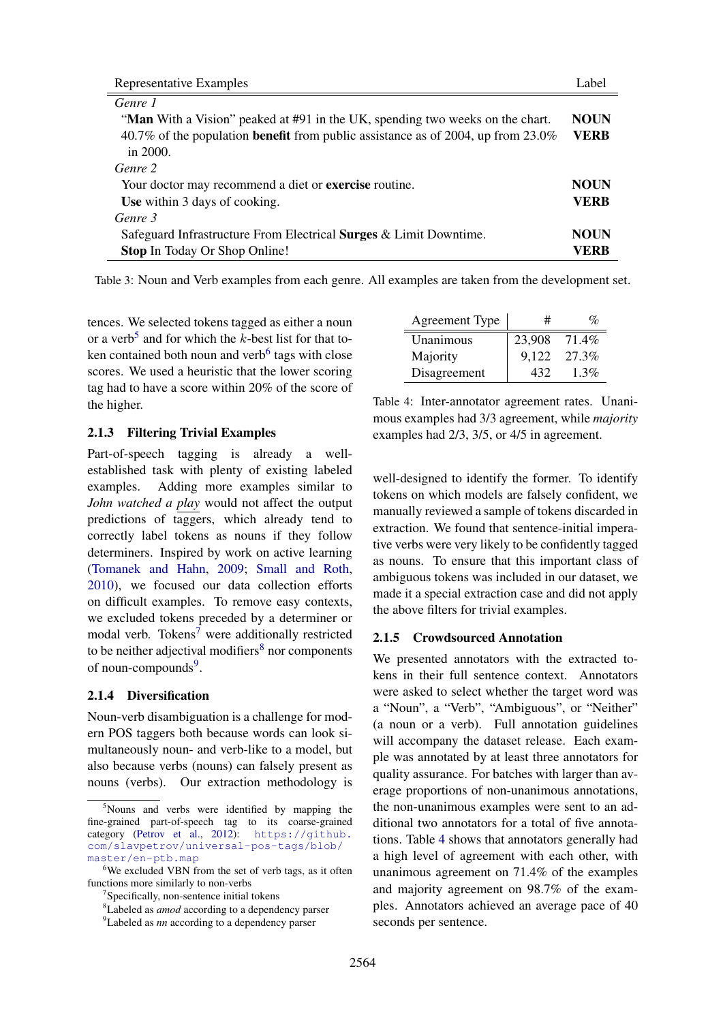<span id="page-2-0"></span>

| Representative Examples                                                                 | Label       |
|-----------------------------------------------------------------------------------------|-------------|
| Genre 1                                                                                 |             |
| "Man With a Vision" peaked at #91 in the UK, spending two weeks on the chart.           | <b>NOUN</b> |
| 40.7% of the population <b>benefit</b> from public assistance as of 2004, up from 23.0% | <b>VERB</b> |
| in $2000$ .                                                                             |             |
| Genre 2                                                                                 |             |
| Your doctor may recommend a diet or <b>exercise</b> routine.                            | <b>NOUN</b> |
| Use within 3 days of cooking.                                                           | <b>VERB</b> |
| Genre 3                                                                                 |             |
| Safeguard Infrastructure From Electrical <b>Surges &amp; Limit Downtime.</b>            | <b>NOUN</b> |
| <b>Stop In Today Or Shop Online!</b>                                                    | VERB        |

Table 3: Noun and Verb examples from each genre. All examples are taken from the development set.

tences. We selected tokens tagged as either a noun or a verb<sup>[5](#page-2-1)</sup> and for which the  $k$ -best list for that to-ken contained both noun and verb<sup>[6](#page-2-2)</sup> tags with close scores. We used a heuristic that the lower scoring tag had to have a score within 20% of the score of the higher.

# 2.1.3 Filtering Trivial Examples

Part-of-speech tagging is already a wellestablished task with plenty of existing labeled examples. Adding more examples similar to *John watched a play* would not affect the output predictions of taggers, which already tend to correctly label tokens as nouns if they follow determiners. Inspired by work on active learning [\(Tomanek and Hahn,](#page-9-6) [2009;](#page-9-6) [Small and Roth,](#page-9-7) [2010\)](#page-9-7), we focused our data collection efforts on difficult examples. To remove easy contexts, we excluded tokens preceded by a determiner or modal verb. Tokens<sup>[7](#page-2-3)</sup> were additionally restricted to be neither adjectival modifiers $8 \text{ nor components}$  $8 \text{ nor components}$ of noun-compounds<sup>[9](#page-2-5)</sup>.

## 2.1.4 Diversification

Noun-verb disambiguation is a challenge for modern POS taggers both because words can look simultaneously noun- and verb-like to a model, but also because verbs (nouns) can falsely present as nouns (verbs). Our extraction methodology is

<span id="page-2-6"></span>

| <b>Agreement Type</b> | #      | $\mathcal{O}_0$ |
|-----------------------|--------|-----------------|
| Unanimous             | 23,908 | 71.4%           |
| Majority              | 9.122  | 27.3%           |
| Disagreement          | 432    | $1.3\%$         |

Table 4: Inter-annotator agreement rates. Unanimous examples had 3/3 agreement, while *majority* examples had 2/3, 3/5, or 4/5 in agreement.

well-designed to identify the former. To identify tokens on which models are falsely confident, we manually reviewed a sample of tokens discarded in extraction. We found that sentence-initial imperative verbs were very likely to be confidently tagged as nouns. To ensure that this important class of ambiguous tokens was included in our dataset, we made it a special extraction case and did not apply the above filters for trivial examples.

## 2.1.5 Crowdsourced Annotation

We presented annotators with the extracted tokens in their full sentence context. Annotators were asked to select whether the target word was a "Noun", a "Verb", "Ambiguous", or "Neither" (a noun or a verb). Full annotation guidelines will accompany the dataset release. Each example was annotated by at least three annotators for quality assurance. For batches with larger than average proportions of non-unanimous annotations, the non-unanimous examples were sent to an additional two annotators for a total of five annotations. Table [4](#page-2-6) shows that annotators generally had a high level of agreement with each other, with unanimous agreement on 71.4% of the examples and majority agreement on 98.7% of the examples. Annotators achieved an average pace of 40 seconds per sentence.

<span id="page-2-1"></span><sup>5</sup>Nouns and verbs were identified by mapping the fine-grained part-of-speech tag to its coarse-grained category [\(Petrov et al.,](#page-9-8) [2012\)](#page-9-8): [https://github.](https://github.com/slavpetrov/universal-pos-tags/blob/master/en-ptb.map) [com/slavpetrov/universal-pos-tags/blob/](https://github.com/slavpetrov/universal-pos-tags/blob/master/en-ptb.map) [master/en-ptb.map](https://github.com/slavpetrov/universal-pos-tags/blob/master/en-ptb.map)

<span id="page-2-2"></span><sup>&</sup>lt;sup>6</sup>We excluded VBN from the set of verb tags, as it often functions more similarly to non-verbs

<span id="page-2-3"></span><sup>&</sup>lt;sup>7</sup>Specifically, non-sentence initial tokens

<span id="page-2-4"></span><sup>8</sup>Labeled as *amod* according to a dependency parser

<span id="page-2-5"></span><sup>9</sup>Labeled as *nn* according to a dependency parser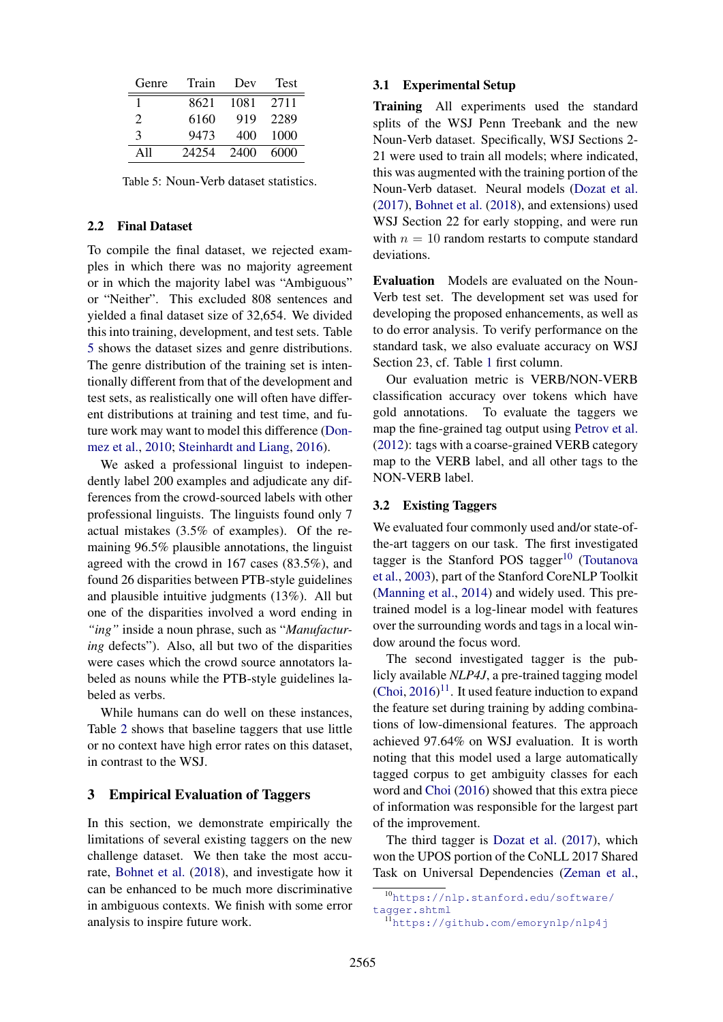<span id="page-3-1"></span>

| Genre         | Train | Dev  | <b>Test</b> |
|---------------|-------|------|-------------|
|               | 8621  | 1081 | 2711        |
| $\mathcal{L}$ | 6160  | 919  | 2289        |
| 3             | 9473  | 400  | 1000        |
| A11           | 24254 | 2400 | 6000        |

Table 5: Noun-Verb dataset statistics.

#### 2.2 Final Dataset

To compile the final dataset, we rejected examples in which there was no majority agreement or in which the majority label was "Ambiguous" or "Neither". This excluded 808 sentences and yielded a final dataset size of 32,654. We divided this into training, development, and test sets. Table [5](#page-3-1) shows the dataset sizes and genre distributions. The genre distribution of the training set is intentionally different from that of the development and test sets, as realistically one will often have different distributions at training and test time, and future work may want to model this difference [\(Don](#page-8-5)[mez et al.,](#page-8-5) [2010;](#page-8-5) [Steinhardt and Liang,](#page-9-9) [2016\)](#page-9-9).

We asked a professional linguist to independently label 200 examples and adjudicate any differences from the crowd-sourced labels with other professional linguists. The linguists found only 7 actual mistakes (3.5% of examples). Of the remaining 96.5% plausible annotations, the linguist agreed with the crowd in 167 cases (83.5%), and found 26 disparities between PTB-style guidelines and plausible intuitive judgments (13%). All but one of the disparities involved a word ending in *"ing"* inside a noun phrase, such as "*Manufacturing* defects"). Also, all but two of the disparities were cases which the crowd source annotators labeled as nouns while the PTB-style guidelines labeled as verbs.

While humans can do well on these instances, Table [2](#page-1-3) shows that baseline taggers that use little or no context have high error rates on this dataset, in contrast to the WSJ.

## <span id="page-3-0"></span>3 Empirical Evaluation of Taggers

In this section, we demonstrate empirically the limitations of several existing taggers on the new challenge dataset. We then take the most accurate, [Bohnet et al.](#page-8-4) [\(2018\)](#page-8-4), and investigate how it can be enhanced to be much more discriminative in ambiguous contexts. We finish with some error analysis to inspire future work.

## 3.1 Experimental Setup

Training All experiments used the standard splits of the WSJ Penn Treebank and the new Noun-Verb dataset. Specifically, WSJ Sections 2- 21 were used to train all models; where indicated, this was augmented with the training portion of the Noun-Verb dataset. Neural models [\(Dozat et al.](#page-8-3) [\(2017\)](#page-8-3), [Bohnet et al.](#page-8-4) [\(2018\)](#page-8-4), and extensions) used WSJ Section 22 for early stopping, and were run with  $n = 10$  random restarts to compute standard deviations.

Evaluation Models are evaluated on the Noun-Verb test set. The development set was used for developing the proposed enhancements, as well as to do error analysis. To verify performance on the standard task, we also evaluate accuracy on WSJ Section 23, cf. Table [1](#page-1-1) first column.

Our evaluation metric is VERB/NON-VERB classification accuracy over tokens which have gold annotations. To evaluate the taggers we map the fine-grained tag output using [Petrov et al.](#page-9-8) [\(2012\)](#page-9-8): tags with a coarse-grained VERB category map to the VERB label, and all other tags to the NON-VERB label.

#### 3.2 Existing Taggers

We evaluated four commonly used and/or state-ofthe-art taggers on our task. The first investigated tagger is the Stanford POS tagger<sup>[10](#page-3-2)</sup> [\(Toutanova](#page-9-5) [et al.,](#page-9-5) [2003\)](#page-9-5), part of the Stanford CoreNLP Toolkit [\(Manning et al.,](#page-9-10) [2014\)](#page-9-10) and widely used. This pretrained model is a log-linear model with features over the surrounding words and tags in a local window around the focus word.

The second investigated tagger is the publicly available *NLP4J*, a pre-trained tagging model  $(Choi, 2016)^{11}$  $(Choi, 2016)^{11}$  $(Choi, 2016)^{11}$  $(Choi, 2016)^{11}$  $(Choi, 2016)^{11}$  $(Choi, 2016)^{11}$ . It used feature induction to expand the feature set during training by adding combinations of low-dimensional features. The approach achieved 97.64% on WSJ evaluation. It is worth noting that this model used a large automatically tagged corpus to get ambiguity classes for each word and [Choi](#page-8-2) [\(2016\)](#page-8-2) showed that this extra piece of information was responsible for the largest part of the improvement.

The third tagger is [Dozat et al.](#page-8-3) [\(2017\)](#page-8-3), which won the UPOS portion of the CoNLL 2017 Shared Task on Universal Dependencies [\(Zeman et al.,](#page-9-11)

<span id="page-3-2"></span><sup>10</sup>[https://nlp.stanford.edu/software/](https://nlp.stanford.edu/software/tagger.shtml) [tagger.shtml](https://nlp.stanford.edu/software/tagger.shtml)

<span id="page-3-3"></span><sup>11</sup><https://github.com/emorynlp/nlp4j>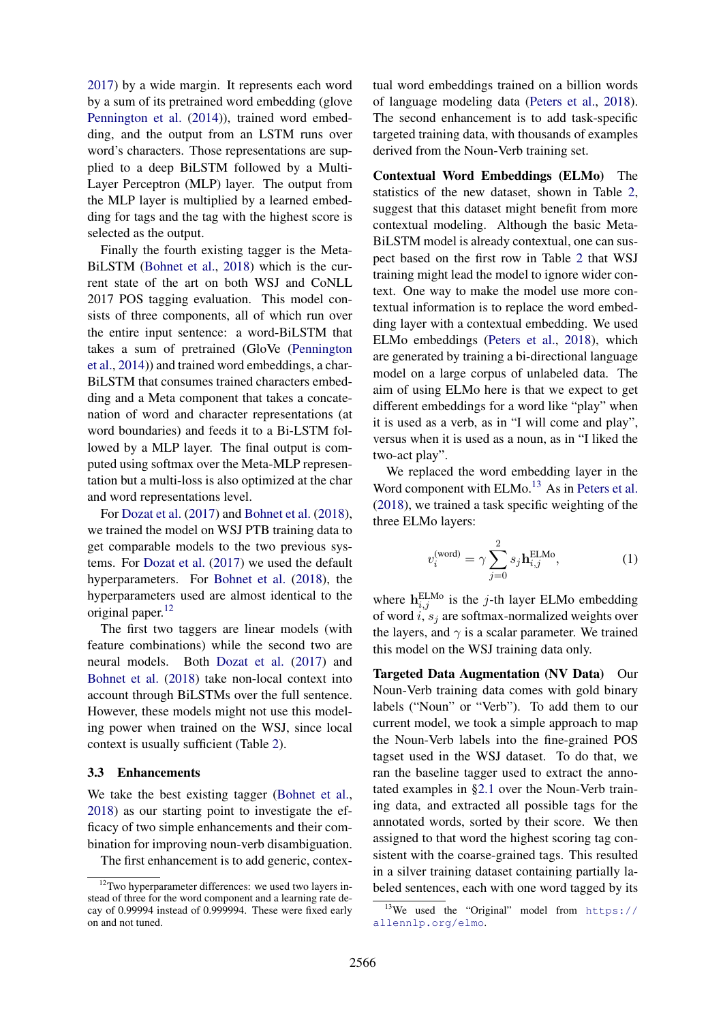[2017\)](#page-9-11) by a wide margin. It represents each word by a sum of its pretrained word embedding (glove [Pennington et al.](#page-9-12) [\(2014\)](#page-9-12)), trained word embedding, and the output from an LSTM runs over word's characters. Those representations are supplied to a deep BiLSTM followed by a Multi-Layer Perceptron (MLP) layer. The output from the MLP layer is multiplied by a learned embedding for tags and the tag with the highest score is selected as the output.

Finally the fourth existing tagger is the Meta-BiLSTM [\(Bohnet et al.,](#page-8-4) [2018\)](#page-8-4) which is the current state of the art on both WSJ and CoNLL 2017 POS tagging evaluation. This model consists of three components, all of which run over the entire input sentence: a word-BiLSTM that takes a sum of pretrained (GloVe [\(Pennington](#page-9-12) [et al.,](#page-9-12) [2014\)](#page-9-12)) and trained word embeddings, a char-BiLSTM that consumes trained characters embedding and a Meta component that takes a concatenation of word and character representations (at word boundaries) and feeds it to a Bi-LSTM followed by a MLP layer. The final output is computed using softmax over the Meta-MLP representation but a multi-loss is also optimized at the char and word representations level.

For [Dozat et al.](#page-8-3) [\(2017\)](#page-8-3) and [Bohnet et al.](#page-8-4) [\(2018\)](#page-8-4), we trained the model on WSJ PTB training data to get comparable models to the two previous systems. For [Dozat et al.](#page-8-3) [\(2017\)](#page-8-3) we used the default hyperparameters. For [Bohnet et al.](#page-8-4) [\(2018\)](#page-8-4), the hyperparameters used are almost identical to the original paper.[12](#page-4-0)

The first two taggers are linear models (with feature combinations) while the second two are neural models. Both [Dozat et al.](#page-8-3) [\(2017\)](#page-8-3) and [Bohnet et al.](#page-8-4) [\(2018\)](#page-8-4) take non-local context into account through BiLSTMs over the full sentence. However, these models might not use this modeling power when trained on the WSJ, since local context is usually sufficient (Table [2\)](#page-1-3).

#### 3.3 Enhancements

We take the best existing tagger [\(Bohnet et al.,](#page-8-4) [2018\)](#page-8-4) as our starting point to investigate the efficacy of two simple enhancements and their combination for improving noun-verb disambiguation.

The first enhancement is to add generic, contex-

tual word embeddings trained on a billion words of language modeling data [\(Peters et al.,](#page-9-2) [2018\)](#page-9-2). The second enhancement is to add task-specific targeted training data, with thousands of examples derived from the Noun-Verb training set.

Contextual Word Embeddings (ELMo) The statistics of the new dataset, shown in Table [2,](#page-1-3) suggest that this dataset might benefit from more contextual modeling. Although the basic Meta-BiLSTM model is already contextual, one can suspect based on the first row in Table [2](#page-1-3) that WSJ training might lead the model to ignore wider context. One way to make the model use more contextual information is to replace the word embedding layer with a contextual embedding. We used ELMo embeddings [\(Peters et al.,](#page-9-2) [2018\)](#page-9-2), which are generated by training a bi-directional language model on a large corpus of unlabeled data. The aim of using ELMo here is that we expect to get different embeddings for a word like "play" when it is used as a verb, as in "I will come and play", versus when it is used as a noun, as in "I liked the two-act play".

We replaced the word embedding layer in the Word component with  $ELMo<sup>13</sup>$  $ELMo<sup>13</sup>$  $ELMo<sup>13</sup>$  As in [Peters et al.](#page-9-2) [\(2018\)](#page-9-2), we trained a task specific weighting of the three ELMo layers:

$$
v_i^{(\text{word})} = \gamma \sum_{j=0}^{2} s_j \mathbf{h}_{i,j}^{\text{ELMo}}, \tag{1}
$$

where  $h_{i,j}^{\text{ELMo}}$  is the j-th layer ELMo embedding of word i,  $s_i$  are softmax-normalized weights over the layers, and  $\gamma$  is a scalar parameter. We trained this model on the WSJ training data only.

Targeted Data Augmentation (NV Data) Our Noun-Verb training data comes with gold binary labels ("Noun" or "Verb"). To add them to our current model, we took a simple approach to map the Noun-Verb labels into the fine-grained POS tagset used in the WSJ dataset. To do that, we ran the baseline tagger used to extract the annotated examples in [§2.1](#page-1-7) over the Noun-Verb training data, and extracted all possible tags for the annotated words, sorted by their score. We then assigned to that word the highest scoring tag consistent with the coarse-grained tags. This resulted in a silver training dataset containing partially labeled sentences, each with one word tagged by its

<span id="page-4-0"></span><sup>&</sup>lt;sup>12</sup>Two hyperparameter differences: we used two layers instead of three for the word component and a learning rate decay of 0.99994 instead of 0.999994. These were fixed early on and not tuned.

<span id="page-4-1"></span><sup>&</sup>lt;sup>13</sup>We used the "Original" model from  $https://$ [allennlp.org/elmo](https://allennlp.org/elmo).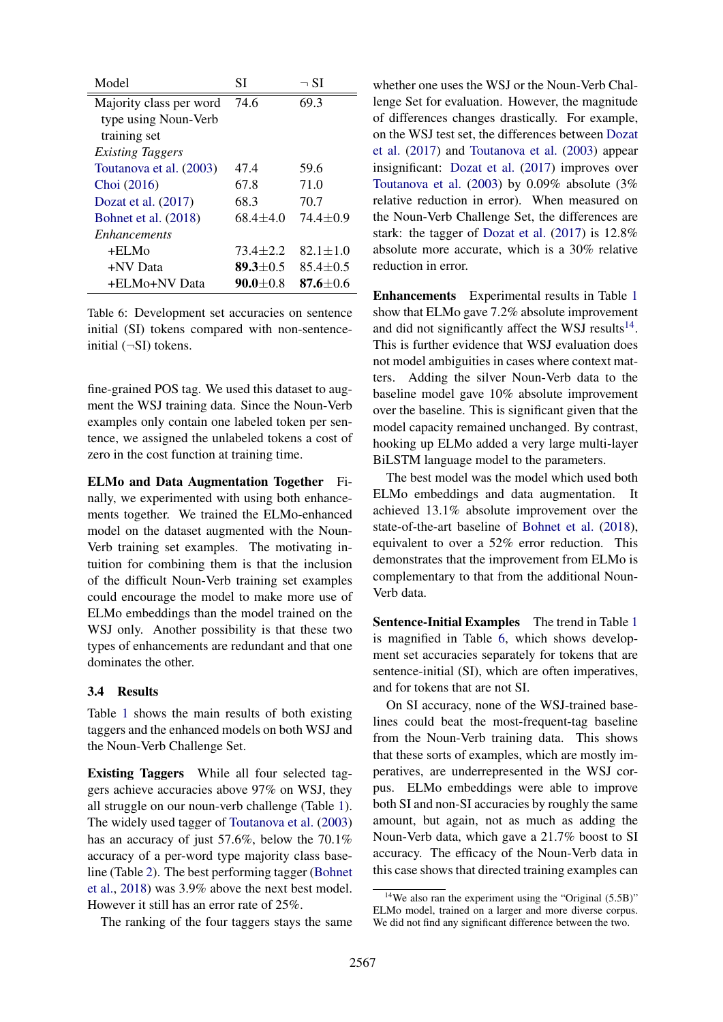<span id="page-5-1"></span>

| Model                   | SI             | $\neg$ SI      |
|-------------------------|----------------|----------------|
| Majority class per word | 74.6           | 69.3           |
| type using Noun-Verb    |                |                |
| training set            |                |                |
| <i>Existing Taggers</i> |                |                |
| Toutanova et al. (2003) | 47.4           | 59.6           |
| Choi (2016)             | 67.8           | 71.0           |
| Dozat et al. $(2017)$   | 68.3           | 70.7           |
| Bohnet et al. (2018)    | $68.4 + 4.0$   | $74.4 + 0.9$   |
| <i>Enhancements</i>     |                |                |
| +ELMo                   | $73.4 \pm 2.2$ | $82.1 \pm 1.0$ |
| +NV Data                | $89.3 \pm 0.5$ | $85.4 \pm 0.5$ |
| +ELMo+NV Data           | $90.0 + 0.8$   | 87.6 $\pm$ 0.6 |

Table 6: Development set accuracies on sentence initial (SI) tokens compared with non-sentenceinitial  $(\neg SI)$  tokens.

fine-grained POS tag. We used this dataset to augment the WSJ training data. Since the Noun-Verb examples only contain one labeled token per sentence, we assigned the unlabeled tokens a cost of zero in the cost function at training time.

ELMo and Data Augmentation Together Finally, we experimented with using both enhancements together. We trained the ELMo-enhanced model on the dataset augmented with the Noun-Verb training set examples. The motivating intuition for combining them is that the inclusion of the difficult Noun-Verb training set examples could encourage the model to make more use of ELMo embeddings than the model trained on the WSJ only. Another possibility is that these two types of enhancements are redundant and that one dominates the other.

## 3.4 Results

Table [1](#page-1-1) shows the main results of both existing taggers and the enhanced models on both WSJ and the Noun-Verb Challenge Set.

Existing Taggers While all four selected taggers achieve accuracies above 97% on WSJ, they all struggle on our noun-verb challenge (Table [1\)](#page-1-1). The widely used tagger of [Toutanova et al.](#page-9-5) [\(2003\)](#page-9-5) has an accuracy of just 57.6%, below the 70.1% accuracy of a per-word type majority class baseline (Table [2\)](#page-1-3). The best performing tagger [\(Bohnet](#page-8-4) [et al.,](#page-8-4) [2018\)](#page-8-4) was 3.9% above the next best model. However it still has an error rate of 25%.

The ranking of the four taggers stays the same

whether one uses the WSJ or the Noun-Verb Challenge Set for evaluation. However, the magnitude of differences changes drastically. For example, on the WSJ test set, the differences between [Dozat](#page-8-3) [et al.](#page-8-3) [\(2017\)](#page-8-3) and [Toutanova et al.](#page-9-5) [\(2003\)](#page-9-5) appear insignificant: [Dozat et al.](#page-8-3) [\(2017\)](#page-8-3) improves over [Toutanova et al.](#page-9-5) [\(2003\)](#page-9-5) by 0.09% absolute (3% relative reduction in error). When measured on the Noun-Verb Challenge Set, the differences are stark: the tagger of [Dozat et al.](#page-8-3) [\(2017\)](#page-8-3) is 12.8% absolute more accurate, which is a 30% relative reduction in error.

Enhancements Experimental results in Table [1](#page-1-1) show that ELMo gave 7.2% absolute improvement and did not significantly affect the WSJ results $^{14}$  $^{14}$  $^{14}$ . This is further evidence that WSJ evaluation does not model ambiguities in cases where context matters. Adding the silver Noun-Verb data to the baseline model gave 10% absolute improvement over the baseline. This is significant given that the model capacity remained unchanged. By contrast, hooking up ELMo added a very large multi-layer BiLSTM language model to the parameters.

The best model was the model which used both ELMo embeddings and data augmentation. It achieved 13.1% absolute improvement over the state-of-the-art baseline of [Bohnet et al.](#page-8-4) [\(2018\)](#page-8-4), equivalent to over a 52% error reduction. This demonstrates that the improvement from ELMo is complementary to that from the additional Noun-Verb data.

Sentence-Initial Examples The trend in Table [1](#page-1-1) is magnified in Table [6,](#page-5-1) which shows development set accuracies separately for tokens that are sentence-initial (SI), which are often imperatives, and for tokens that are not SI.

On SI accuracy, none of the WSJ-trained baselines could beat the most-frequent-tag baseline from the Noun-Verb training data. This shows that these sorts of examples, which are mostly imperatives, are underrepresented in the WSJ corpus. ELMo embeddings were able to improve both SI and non-SI accuracies by roughly the same amount, but again, not as much as adding the Noun-Verb data, which gave a 21.7% boost to SI accuracy. The efficacy of the Noun-Verb data in this case shows that directed training examples can

<span id="page-5-0"></span> $14$ We also ran the experiment using the "Original (5.5B)" ELMo model, trained on a larger and more diverse corpus. We did not find any significant difference between the two.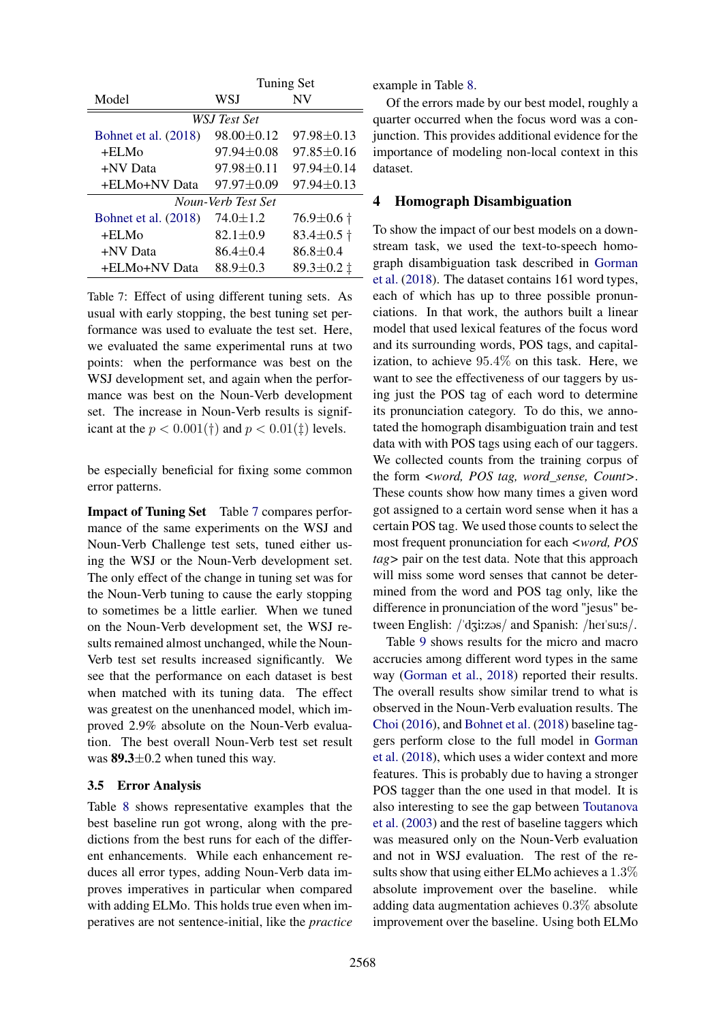<span id="page-6-1"></span>

|                      | Tuning Set       |                      |  |
|----------------------|------------------|----------------------|--|
| Model                | WSJ              | NV                   |  |
|                      | WSJ Test Set     |                      |  |
| Bohnet et al. (2018) | 98.00±0.12       | 97.98±0.13           |  |
| $+ELMo$              | $97.94 \pm 0.08$ | $97.85 \pm 0.16$     |  |
| +NV Data             | $97.98 \pm 0.11$ | $97.94 \pm 0.14$     |  |
| +ELMo+NV Data        | $97.97 \pm 0.09$ | $97.94 \pm 0.13$     |  |
| Noun-Verb Test Set   |                  |                      |  |
| Bohnet et al. (2018) | $74.0 \pm 1.2$   | $76.9 \pm 0.6$ †     |  |
| $+ELMo$              | $82.1 \pm 0.9$   | $83.4 \pm 0.5$ †     |  |
| +NV Data             | $86.4 \pm 0.4$   | $86.8 \pm 0.4$       |  |
| +ELMo+NV Data        | $88.9 \pm 0.3$   | 89.3 $\pm$ 0.2 $\pm$ |  |

Table 7: Effect of using different tuning sets. As usual with early stopping, the best tuning set performance was used to evaluate the test set. Here, we evaluated the same experimental runs at two points: when the performance was best on the WSJ development set, and again when the performance was best on the Noun-Verb development set. The increase in Noun-Verb results is significant at the  $p < 0.001(\dagger)$  and  $p < 0.01(\dagger)$  levels.

be especially beneficial for fixing some common error patterns.

Impact of Tuning Set Table [7](#page-6-1) compares performance of the same experiments on the WSJ and Noun-Verb Challenge test sets, tuned either using the WSJ or the Noun-Verb development set. The only effect of the change in tuning set was for the Noun-Verb tuning to cause the early stopping to sometimes be a little earlier. When we tuned on the Noun-Verb development set, the WSJ results remained almost unchanged, while the Noun-Verb test set results increased significantly. We see that the performance on each dataset is best when matched with its tuning data. The effect was greatest on the unenhanced model, which improved 2.9% absolute on the Noun-Verb evaluation. The best overall Noun-Verb test set result was  $89.3 \pm 0.2$  when tuned this way.

## 3.5 Error Analysis

Table [8](#page-7-0) shows representative examples that the best baseline run got wrong, along with the predictions from the best runs for each of the different enhancements. While each enhancement reduces all error types, adding Noun-Verb data improves imperatives in particular when compared with adding ELMo. This holds true even when imperatives are not sentence-initial, like the *practice*

example in Table [8.](#page-7-0)

Of the errors made by our best model, roughly a quarter occurred when the focus word was a conjunction. This provides additional evidence for the importance of modeling non-local context in this dataset.

# <span id="page-6-0"></span>4 Homograph Disambiguation

To show the impact of our best models on a downstream task, we used the text-to-speech homograph disambiguation task described in [Gorman](#page-9-13) [et al.](#page-9-13) [\(2018\)](#page-9-13). The dataset contains 161 word types, each of which has up to three possible pronunciations. In that work, the authors built a linear model that used lexical features of the focus word and its surrounding words, POS tags, and capitalization, to achieve 95.4% on this task. Here, we want to see the effectiveness of our taggers by using just the POS tag of each word to determine its pronunciation category. To do this, we annotated the homograph disambiguation train and test data with with POS tags using each of our taggers. We collected counts from the training corpus of the form *<word, POS tag, word\_sense, Count>*. These counts show how many times a given word got assigned to a certain word sense when it has a certain POS tag. We used those counts to select the most frequent pronunciation for each *<word, POS tag>* pair on the test data. Note that this approach will miss some word senses that cannot be determined from the word and POS tag only, like the difference in pronunciation of the word "jesus" between English: /'dʒi:zəs/ and Spanish: /her/su:s/.

Table [9](#page-7-1) shows results for the micro and macro accrucies among different word types in the same way [\(Gorman et al.,](#page-9-13) [2018\)](#page-9-13) reported their results. The overall results show similar trend to what is observed in the Noun-Verb evaluation results. The [Choi](#page-8-2) [\(2016\)](#page-8-2), and [Bohnet et al.](#page-8-4) [\(2018\)](#page-8-4) baseline taggers perform close to the full model in [Gorman](#page-9-13) [et al.](#page-9-13) [\(2018\)](#page-9-13), which uses a wider context and more features. This is probably due to having a stronger POS tagger than the one used in that model. It is also interesting to see the gap between [Toutanova](#page-9-5) [et al.](#page-9-5) [\(2003\)](#page-9-5) and the rest of baseline taggers which was measured only on the Noun-Verb evaluation and not in WSJ evaluation. The rest of the results show that using either ELMo achieves a 1.3% absolute improvement over the baseline. while adding data augmentation achieves 0.3% absolute improvement over the baseline. Using both ELMo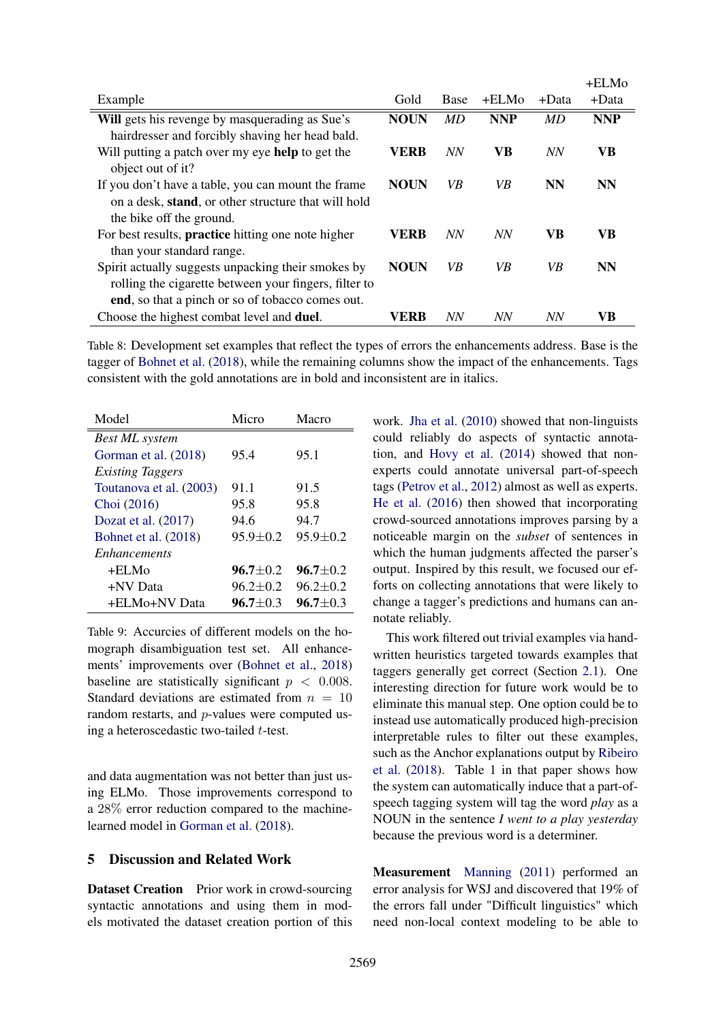<span id="page-7-0"></span>

|                                                           |             |           |            |           | $+ELMo$    |
|-----------------------------------------------------------|-------------|-----------|------------|-----------|------------|
| Example                                                   | Gold        | Base      | +ELMo      | +Data     | $+Data$    |
| Will gets his revenge by masquerading as Sue's            | <b>NOUN</b> | MD        | <b>NNP</b> | MD        | <b>NNP</b> |
| hairdresser and forcibly shaving her head bald.           |             |           |            |           |            |
| Will putting a patch over my eye help to get the          | VERB        | <b>NN</b> | VB         | <b>NN</b> | <b>VB</b>  |
| object out of it?                                         |             |           |            |           |            |
| If you don't have a table, you can mount the frame        | <b>NOUN</b> | VB        | VB         | <b>NN</b> | <b>NN</b>  |
| on a desk, stand, or other structure that will hold       |             |           |            |           |            |
| the bike off the ground.                                  |             |           |            |           |            |
| For best results, <b>practice</b> hitting one note higher | VERB        | <b>NN</b> | NN         | <b>VB</b> | VB         |
| than your standard range.                                 |             |           |            |           |            |
| Spirit actually suggests unpacking their smokes by        | <b>NOUN</b> | VB        | VB         | VB        | <b>NN</b>  |
| rolling the cigarette between your fingers, filter to     |             |           |            |           |            |
| end, so that a pinch or so of tobacco comes out.          |             |           |            |           |            |
| Choose the highest combat level and <b>duel</b> .         | VERB        | <b>NN</b> | NN         | <b>NN</b> | VB         |

Table 8: Development set examples that reflect the types of errors the enhancements address. Base is the tagger of [Bohnet et al.](#page-8-4) [\(2018\)](#page-8-4), while the remaining columns show the impact of the enhancements. Tags consistent with the gold annotations are in bold and inconsistent are in italics.

<span id="page-7-1"></span>

| Model                   | Micro          | Macro          |
|-------------------------|----------------|----------------|
| <b>Best ML</b> system   |                |                |
| Gorman et al. (2018)    | 95.4           | 95.1           |
| <b>Existing Taggers</b> |                |                |
| Toutanova et al. (2003) | 91.1           | 91.5           |
| Choi (2016)             | 95.8           | 95.8           |
| Dozat et al. $(2017)$   | 94.6           | 94.7           |
| Bohnet et al. (2018)    | $95.9 + 0.2$   | $95.9 \pm 0.2$ |
| <i>Enhancements</i>     |                |                |
| +ELMo                   | $96.7 \pm 0.2$ | $96.7 + 0.2$   |
| +NV Data                | $96.2 \pm 0.2$ | $96.2 + 0.2$   |
| +ELMo+NV Data           | $96.7 + 0.3$   | $96.7 + 0.3$   |

Table 9: Accurcies of different models on the homograph disambiguation test set. All enhancements' improvements over [\(Bohnet et al.,](#page-8-4) [2018\)](#page-8-4) baseline are statistically significant  $p < 0.008$ . Standard deviations are estimated from  $n = 10$ random restarts, and p-values were computed using a heteroscedastic two-tailed t-test.

and data augmentation was not better than just using ELMo. Those improvements correspond to a 28% error reduction compared to the machinelearned model in [Gorman et al.](#page-9-13) [\(2018\)](#page-9-13).

# 5 Discussion and Related Work

Dataset Creation Prior work in crowd-sourcing syntactic annotations and using them in models motivated the dataset creation portion of this

work. [Jha et al.](#page-9-14) [\(2010\)](#page-9-14) showed that non-linguists could reliably do aspects of syntactic annotation, and [Hovy et al.](#page-9-15) [\(2014\)](#page-9-15) showed that nonexperts could annotate universal part-of-speech tags [\(Petrov et al.,](#page-9-8) [2012\)](#page-9-8) almost as well as experts. [He et al.](#page-9-16) [\(2016\)](#page-9-16) then showed that incorporating crowd-sourced annotations improves parsing by a noticeable margin on the *subset* of sentences in which the human judgments affected the parser's output. Inspired by this result, we focused our efforts on collecting annotations that were likely to change a tagger's predictions and humans can annotate reliably.

This work filtered out trivial examples via handwritten heuristics targeted towards examples that taggers generally get correct (Section [2.1\)](#page-1-7). One interesting direction for future work would be to eliminate this manual step. One option could be to instead use automatically produced high-precision interpretable rules to filter out these examples, such as the Anchor explanations output by [Ribeiro](#page-9-17) [et al.](#page-9-17) [\(2018\)](#page-9-17). Table 1 in that paper shows how the system can automatically induce that a part-ofspeech tagging system will tag the word *play* as a NOUN in the sentence *I went to a play yesterday* because the previous word is a determiner.

Measurement [Manning](#page-9-3) [\(2011\)](#page-9-3) performed an error analysis for WSJ and discovered that 19% of the errors fall under "Difficult linguistics" which need non-local context modeling to be able to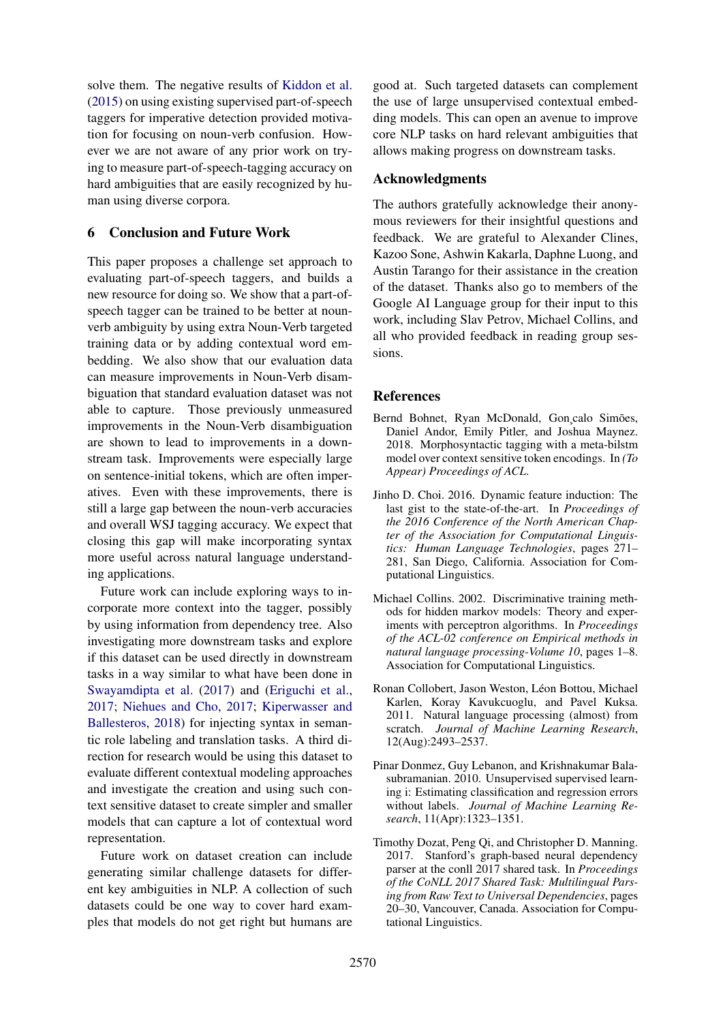solve them. The negative results of [Kiddon et al.](#page-9-4) [\(2015\)](#page-9-4) on using existing supervised part-of-speech taggers for imperative detection provided motivation for focusing on noun-verb confusion. However we are not aware of any prior work on trying to measure part-of-speech-tagging accuracy on hard ambiguities that are easily recognized by human using diverse corpora.

# 6 Conclusion and Future Work

This paper proposes a challenge set approach to evaluating part-of-speech taggers, and builds a new resource for doing so. We show that a part-ofspeech tagger can be trained to be better at nounverb ambiguity by using extra Noun-Verb targeted training data or by adding contextual word embedding. We also show that our evaluation data can measure improvements in Noun-Verb disambiguation that standard evaluation dataset was not able to capture. Those previously unmeasured improvements in the Noun-Verb disambiguation are shown to lead to improvements in a downstream task. Improvements were especially large on sentence-initial tokens, which are often imperatives. Even with these improvements, there is still a large gap between the noun-verb accuracies and overall WSJ tagging accuracy. We expect that closing this gap will make incorporating syntax more useful across natural language understanding applications.

Future work can include exploring ways to incorporate more context into the tagger, possibly by using information from dependency tree. Also investigating more downstream tasks and explore if this dataset can be used directly in downstream tasks in a way similar to what have been done in [Swayamdipta et al.](#page-9-18) [\(2017\)](#page-9-18) and [\(Eriguchi et al.,](#page-9-19) [2017;](#page-9-19) [Niehues and Cho,](#page-9-20) [2017;](#page-9-20) [Kiperwasser and](#page-9-21) [Ballesteros,](#page-9-21) [2018\)](#page-9-21) for injecting syntax in semantic role labeling and translation tasks. A third direction for research would be using this dataset to evaluate different contextual modeling approaches and investigate the creation and using such context sensitive dataset to create simpler and smaller models that can capture a lot of contextual word representation.

Future work on dataset creation can include generating similar challenge datasets for different key ambiguities in NLP. A collection of such datasets could be one way to cover hard examples that models do not get right but humans are

good at. Such targeted datasets can complement the use of large unsupervised contextual embedding models. This can open an avenue to improve core NLP tasks on hard relevant ambiguities that allows making progress on downstream tasks.

# Acknowledgments

The authors gratefully acknowledge their anonymous reviewers for their insightful questions and feedback. We are grateful to Alexander Clines, Kazoo Sone, Ashwin Kakarla, Daphne Luong, and Austin Tarango for their assistance in the creation of the dataset. Thanks also go to members of the Google AI Language group for their input to this work, including Slav Petrov, Michael Collins, and all who provided feedback in reading group sessions.

# References

- <span id="page-8-4"></span>Bernd Bohnet, Ryan McDonald, Gon¸calo Simões, Daniel Andor, Emily Pitler, and Joshua Maynez. 2018. Morphosyntactic tagging with a meta-bilstm model over context sensitive token encodings. In *(To Appear) Proceedings of ACL*.
- <span id="page-8-2"></span>Jinho D. Choi. 2016. Dynamic feature induction: The last gist to the state-of-the-art. In *Proceedings of the 2016 Conference of the North American Chapter of the Association for Computational Linguistics: Human Language Technologies*, pages 271– 281, San Diego, California. Association for Computational Linguistics.
- <span id="page-8-0"></span>Michael Collins. 2002. Discriminative training methods for hidden markov models: Theory and experiments with perceptron algorithms. In *Proceedings of the ACL-02 conference on Empirical methods in natural language processing-Volume 10*, pages 1–8. Association for Computational Linguistics.
- <span id="page-8-1"></span>Ronan Collobert, Jason Weston, Léon Bottou, Michael Karlen, Koray Kavukcuoglu, and Pavel Kuksa. 2011. Natural language processing (almost) from scratch. *Journal of Machine Learning Research*, 12(Aug):2493–2537.
- <span id="page-8-5"></span>Pinar Donmez, Guy Lebanon, and Krishnakumar Balasubramanian. 2010. Unsupervised supervised learning i: Estimating classification and regression errors without labels. *Journal of Machine Learning Research*, 11(Apr):1323–1351.
- <span id="page-8-3"></span>Timothy Dozat, Peng Qi, and Christopher D. Manning. 2017. Stanford's graph-based neural dependency parser at the conll 2017 shared task. In *Proceedings of the CoNLL 2017 Shared Task: Multilingual Parsing from Raw Text to Universal Dependencies*, pages 20–30, Vancouver, Canada. Association for Computational Linguistics.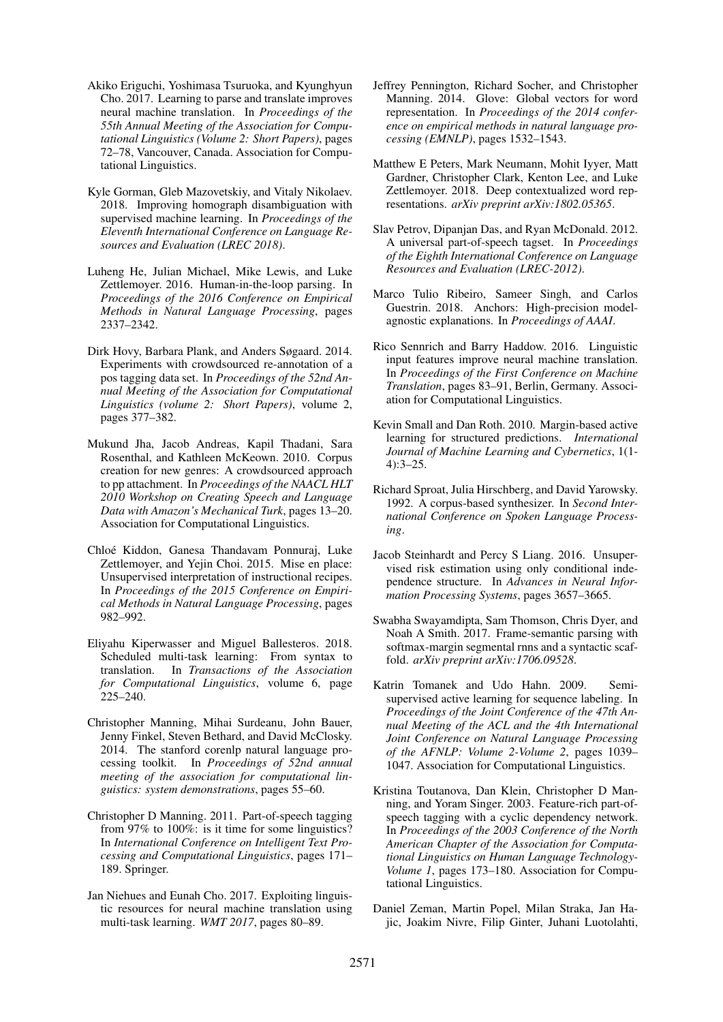- <span id="page-9-19"></span>Akiko Eriguchi, Yoshimasa Tsuruoka, and Kyunghyun Cho. 2017. Learning to parse and translate improves neural machine translation. In *Proceedings of the 55th Annual Meeting of the Association for Computational Linguistics (Volume 2: Short Papers)*, pages 72–78, Vancouver, Canada. Association for Computational Linguistics.
- <span id="page-9-13"></span>Kyle Gorman, Gleb Mazovetskiy, and Vitaly Nikolaev. 2018. Improving homograph disambiguation with supervised machine learning. In *Proceedings of the Eleventh International Conference on Language Resources and Evaluation (LREC 2018)*.
- <span id="page-9-16"></span>Luheng He, Julian Michael, Mike Lewis, and Luke Zettlemoyer. 2016. Human-in-the-loop parsing. In *Proceedings of the 2016 Conference on Empirical Methods in Natural Language Processing*, pages 2337–2342.
- <span id="page-9-15"></span>Dirk Hovy, Barbara Plank, and Anders Søgaard. 2014. Experiments with crowdsourced re-annotation of a pos tagging data set. In *Proceedings of the 52nd Annual Meeting of the Association for Computational Linguistics (volume 2: Short Papers)*, volume 2, pages 377–382.
- <span id="page-9-14"></span>Mukund Jha, Jacob Andreas, Kapil Thadani, Sara Rosenthal, and Kathleen McKeown. 2010. Corpus creation for new genres: A crowdsourced approach to pp attachment. In *Proceedings of the NAACL HLT 2010 Workshop on Creating Speech and Language Data with Amazon's Mechanical Turk*, pages 13–20. Association for Computational Linguistics.
- <span id="page-9-4"></span>Chloé Kiddon, Ganesa Thandavam Ponnuraj, Luke Zettlemoyer, and Yejin Choi. 2015. Mise en place: Unsupervised interpretation of instructional recipes. In *Proceedings of the 2015 Conference on Empirical Methods in Natural Language Processing*, pages 982–992.
- <span id="page-9-21"></span>Eliyahu Kiperwasser and Miguel Ballesteros. 2018. Scheduled multi-task learning: From syntax to translation. In *Transactions of the Association for Computational Linguistics*, volume 6, page 225–240.
- <span id="page-9-10"></span>Christopher Manning, Mihai Surdeanu, John Bauer, Jenny Finkel, Steven Bethard, and David McClosky. 2014. The stanford corenlp natural language processing toolkit. In *Proceedings of 52nd annual meeting of the association for computational linguistics: system demonstrations*, pages 55–60.
- <span id="page-9-3"></span>Christopher D Manning. 2011. Part-of-speech tagging from 97% to 100%: is it time for some linguistics? In *International Conference on Intelligent Text Processing and Computational Linguistics*, pages 171– 189. Springer.
- <span id="page-9-20"></span>Jan Niehues and Eunah Cho. 2017. Exploiting linguistic resources for neural machine translation using multi-task learning. *WMT 2017*, pages 80–89.
- <span id="page-9-12"></span>Jeffrey Pennington, Richard Socher, and Christopher Manning. 2014. Glove: Global vectors for word representation. In *Proceedings of the 2014 conference on empirical methods in natural language processing (EMNLP)*, pages 1532–1543.
- <span id="page-9-2"></span>Matthew E Peters, Mark Neumann, Mohit Iyyer, Matt Gardner, Christopher Clark, Kenton Lee, and Luke Zettlemoyer. 2018. Deep contextualized word representations. *arXiv preprint arXiv:1802.05365*.
- <span id="page-9-8"></span>Slav Petrov, Dipanjan Das, and Ryan McDonald. 2012. A universal part-of-speech tagset. In *Proceedings of the Eighth International Conference on Language Resources and Evaluation (LREC-2012)*.
- <span id="page-9-17"></span>Marco Tulio Ribeiro, Sameer Singh, and Carlos Guestrin. 2018. Anchors: High-precision modelagnostic explanations. In *Proceedings of AAAI*.
- <span id="page-9-0"></span>Rico Sennrich and Barry Haddow. 2016. Linguistic input features improve neural machine translation. In *Proceedings of the First Conference on Machine Translation*, pages 83–91, Berlin, Germany. Association for Computational Linguistics.
- <span id="page-9-7"></span>Kevin Small and Dan Roth. 2010. Margin-based active learning for structured predictions. *International Journal of Machine Learning and Cybernetics*, 1(1- 4):3–25.
- <span id="page-9-1"></span>Richard Sproat, Julia Hirschberg, and David Yarowsky. 1992. A corpus-based synthesizer. In *Second International Conference on Spoken Language Processing*.
- <span id="page-9-9"></span>Jacob Steinhardt and Percy S Liang. 2016. Unsupervised risk estimation using only conditional independence structure. In *Advances in Neural Information Processing Systems*, pages 3657–3665.
- <span id="page-9-18"></span>Swabha Swayamdipta, Sam Thomson, Chris Dyer, and Noah A Smith. 2017. Frame-semantic parsing with softmax-margin segmental rnns and a syntactic scaffold. *arXiv preprint arXiv:1706.09528*.
- <span id="page-9-6"></span>Katrin Tomanek and Udo Hahn. 2009. Semisupervised active learning for sequence labeling. In *Proceedings of the Joint Conference of the 47th Annual Meeting of the ACL and the 4th International Joint Conference on Natural Language Processing of the AFNLP: Volume 2-Volume 2*, pages 1039– 1047. Association for Computational Linguistics.
- <span id="page-9-5"></span>Kristina Toutanova, Dan Klein, Christopher D Manning, and Yoram Singer. 2003. Feature-rich part-ofspeech tagging with a cyclic dependency network. In *Proceedings of the 2003 Conference of the North American Chapter of the Association for Computational Linguistics on Human Language Technology-Volume 1*, pages 173–180. Association for Computational Linguistics.
- <span id="page-9-11"></span>Daniel Zeman, Martin Popel, Milan Straka, Jan Hajic, Joakim Nivre, Filip Ginter, Juhani Luotolahti,